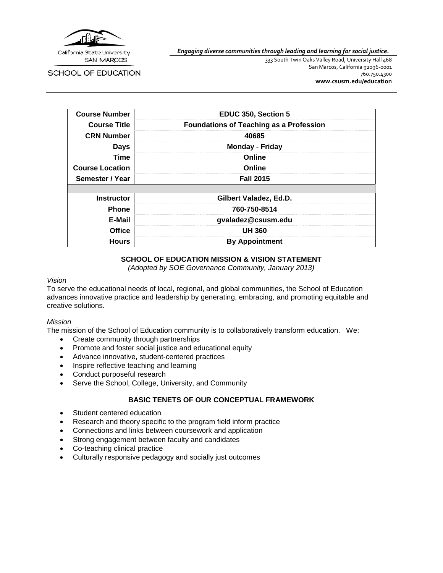

*Engaging diverse communities through leading and learning for social justice.*

**SCHOOL OF EDUCATION** 

333 South Twin Oaks Valley Road, University Hall 468 San Marcos, California 92096-0001 760.750.4300 **[www.csusm.edu/education](http://www.csusm.edu/education)**

| <b>Course Number</b>   | EDUC 350, Section 5                            |
|------------------------|------------------------------------------------|
| <b>Course Title</b>    | <b>Foundations of Teaching as a Profession</b> |
| <b>CRN Number</b>      | 40685                                          |
| <b>Days</b>            | <b>Monday - Friday</b>                         |
| <b>Time</b>            | Online                                         |
| <b>Course Location</b> | Online                                         |
| Semester / Year        | <b>Fall 2015</b>                               |
|                        |                                                |
| <b>Instructor</b>      | Gilbert Valadez, Ed.D.                         |
| <b>Phone</b>           | 760-750-8514                                   |
| E-Mail                 | gvaladez@csusm.edu                             |
| <b>Office</b>          | <b>UH 360</b>                                  |
| <b>Hours</b>           | <b>By Appointment</b>                          |

## **SCHOOL OF EDUCATION MISSION & VISION STATEMENT**

*(Adopted by SOE Governance Community, January 2013)*

### *Vision*

To serve the educational needs of local, regional, and global communities, the School of Education advances innovative practice and leadership by generating, embracing, and promoting equitable and creative solutions.

### *Mission*

The mission of the School of Education community is to collaboratively transform education. We:

- Create community through partnerships
- Promote and foster social justice and educational equity
- Advance innovative, student-centered practices
- Inspire reflective teaching and learning
- Conduct purposeful research
- Serve the School, College, University, and Community

## **BASIC TENETS OF OUR CONCEPTUAL FRAMEWORK**

- Student centered education
- Research and theory specific to the program field inform practice
- Connections and links between coursework and application
- Strong engagement between faculty and candidates
- Co-teaching clinical practice
- Culturally responsive pedagogy and socially just outcomes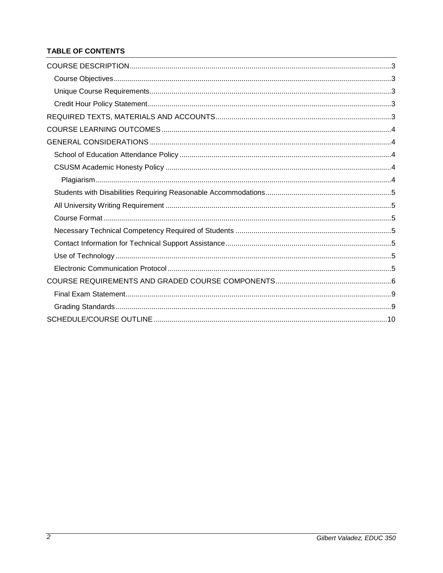# **TABLE OF CONTENTS**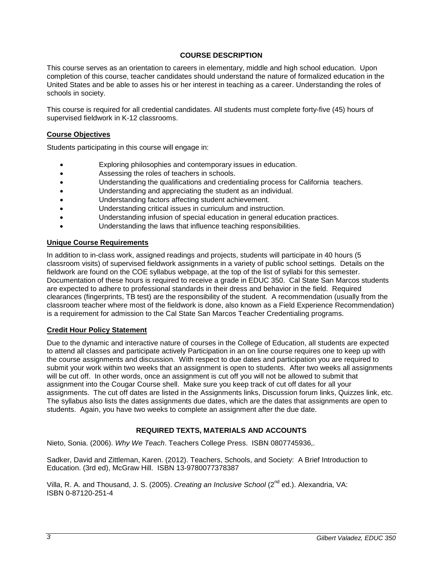## **COURSE DESCRIPTION**

<span id="page-2-0"></span>This course serves as an orientation to careers in elementary, middle and high school education. Upon completion of this course, teacher candidates should understand the nature of formalized education in the United States and be able to asses his or her interest in teaching as a career. Understanding the roles of schools in society.

This course is required for all credential candidates. All students must complete forty-five (45) hours of supervised fieldwork in K-12 classrooms.

## <span id="page-2-1"></span>**Course Objectives**

Students participating in this course will engage in:

- Exploring philosophies and contemporary issues in education.
- Assessing the roles of teachers in schools.
- Understanding the qualifications and credentialing process for California teachers.
- Understanding and appreciating the student as an individual.
- Understanding factors affecting student achievement.
- Understanding critical issues in curriculum and instruction.
- Understanding infusion of special education in general education practices.
- Understanding the laws that influence teaching responsibilities.

## <span id="page-2-2"></span>**Unique Course Requirements**

In addition to in-class work, assigned readings and projects, students will participate in 40 hours (5 classroom visits) of supervised fieldwork assignments in a variety of public school settings. Details on the fieldwork are found on the COE syllabus webpage, at the top of the list of syllabi for this semester. Documentation of these hours is required to receive a grade in EDUC 350. Cal State San Marcos students are expected to adhere to professional standards in their dress and behavior in the field. Required clearances (fingerprints, TB test) are the responsibility of the student. A recommendation (usually from the classroom teacher where most of the fieldwork is done, also known as a Field Experience Recommendation) is a requirement for admission to the Cal State San Marcos Teacher Credentialing programs.

## <span id="page-2-3"></span>**Credit Hour Policy Statement**

Due to the dynamic and interactive nature of courses in the College of Education, all students are expected to attend all classes and participate actively Participation in an on line course requires one to keep up with the course assignments and discussion. With respect to due dates and participation you are required to submit your work within two weeks that an assignment is open to students. After two weeks all assignments will be cut off. In other words, once an assignment is cut off you will not be allowed to submit that assignment into the Cougar Course shell. Make sure you keep track of cut off dates for all your assignments. The cut off dates are listed in the Assignments links, Discussion forum links, Quizzes link, etc. The syllabus also lists the dates assignments due dates, which are the dates that assignments are open to students. Again, you have two weeks to complete an assignment after the due date.

## **REQUIRED TEXTS, MATERIALS AND ACCOUNTS**

<span id="page-2-4"></span>Nieto, Sonia. (2006). *Why We Teach*. Teachers College Press. ISBN 0807745936,.

Sadker, David and Zittleman, Karen. (2012). Teachers, Schools, and Society: A Brief Introduction to Education. (3rd ed), McGraw Hill. ISBN 13-9780077378387

Villa, R. A. and Thousand, J. S. (2005). *Creating an Inclusive School* (2<sup>nd</sup> ed.). Alexandria, VA: ISBN 0-87120-251-4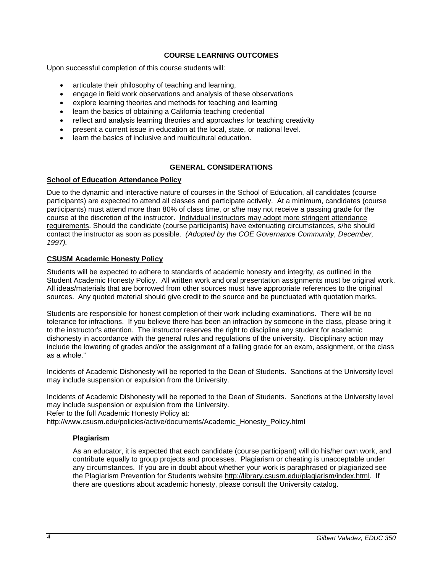## **COURSE LEARNING OUTCOMES**

<span id="page-3-0"></span>Upon successful completion of this course students will:

- articulate their philosophy of teaching and learning,
- engage in field work observations and analysis of these observations
- explore learning theories and methods for teaching and learning
- learn the basics of obtaining a California teaching credential
- reflect and analysis learning theories and approaches for teaching creativity
- present a current issue in education at the local, state, or national level.
- learn the basics of inclusive and multicultural education.

## **GENERAL CONSIDERATIONS**

### <span id="page-3-2"></span><span id="page-3-1"></span>**School of Education Attendance Policy**

Due to the dynamic and interactive nature of courses in the School of Education, all candidates (course participants) are expected to attend all classes and participate actively. At a minimum, candidates (course participants) must attend more than 80% of class time, or s/he may not receive a passing grade for the course at the discretion of the instructor. Individual instructors may adopt more stringent attendance requirements. Should the candidate (course participants) have extenuating circumstances, s/he should contact the instructor as soon as possible. *(Adopted by the COE Governance Community, December, 1997).*

## <span id="page-3-3"></span>**CSUSM Academic Honesty Policy**

Students will be expected to adhere to standards of academic honesty and integrity, as outlined in the Student Academic Honesty Policy. All written work and oral presentation assignments must be original work. All ideas/materials that are borrowed from other sources must have appropriate references to the original sources. Any quoted material should give credit to the source and be punctuated with quotation marks.

Students are responsible for honest completion of their work including examinations. There will be no tolerance for infractions. If you believe there has been an infraction by someone in the class, please bring it to the instructor's attention. The instructor reserves the right to discipline any student for academic dishonesty in accordance with the general rules and regulations of the university. Disciplinary action may include the lowering of grades and/or the assignment of a failing grade for an exam, assignment, or the class as a whole."

Incidents of Academic Dishonesty will be reported to the Dean of Students. Sanctions at the University level may include suspension or expulsion from the University.

Incidents of Academic Dishonesty will be reported to the Dean of Students. Sanctions at the University level may include suspension or expulsion from the University.

Refer to the full Academic Honesty Policy at:

<span id="page-3-4"></span>[http://www.csusm.edu/policies/active/documents/Academic\\_Honesty\\_Policy.html](http://www.csusm.edu/policies/active/documents/Academic_Honesty_Policy.html)

### **Plagiarism**

As an educator, it is expected that each candidate (course participant) will do his/her own work, and contribute equally to group projects and processes. Plagiarism or cheating is unacceptable under any circumstances. If you are in doubt about whether your work is paraphrased or plagiarized see the Plagiarism Prevention for Students website [http://library.csusm.edu/plagiarism/index.html.](http://library.csusm.edu/plagiarism/index.html) If there are questions about academic honesty, please consult the University catalog.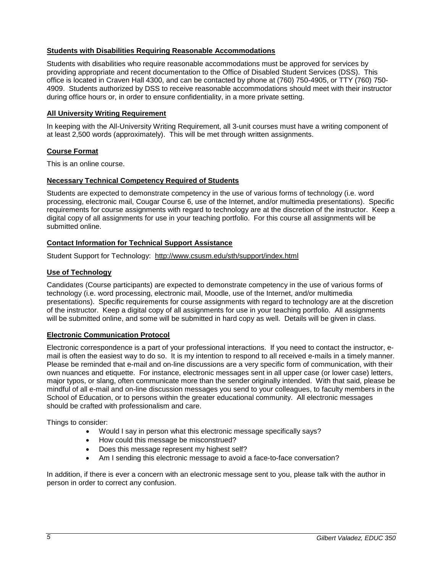## <span id="page-4-0"></span>**Students with Disabilities Requiring Reasonable Accommodations**

Students with disabilities who require reasonable accommodations must be approved for services by providing appropriate and recent documentation to the Office of Disabled Student Services (DSS). This office is located in Craven Hall 4300, and can be contacted by phone at (760) 750-4905, or TTY (760) 750- 4909. Students authorized by DSS to receive reasonable accommodations should meet with their instructor during office hours or, in order to ensure confidentiality, in a more private setting.

## <span id="page-4-1"></span>**All University Writing Requirement**

In keeping with the All-University Writing Requirement, all 3-unit courses must have a writing component of at least 2,500 words (approximately). This will be met through written assignments.

## <span id="page-4-2"></span>**Course Format**

This is an online course.

## <span id="page-4-3"></span>**Necessary Technical Competency Required of Students**

Students are expected to demonstrate competency in the use of various forms of technology (i.e. word processing, electronic mail, Cougar Course 6, use of the Internet, and/or multimedia presentations). Specific requirements for course assignments with regard to technology are at the discretion of the instructor. Keep a digital copy of all assignments for use in your teaching portfolio. For this course all assignments will be submitted online.

## <span id="page-4-4"></span>**Contact Information for Technical Support Assistance**

Student Support for Technology: <http://www.csusm.edu/sth/support/index.html>

## <span id="page-4-5"></span>**Use of Technology**

Candidates (Course participants) are expected to demonstrate competency in the use of various forms of technology (i.e. word processing, electronic mail, Moodle, use of the Internet, and/or multimedia presentations). Specific requirements for course assignments with regard to technology are at the discretion of the instructor. Keep a digital copy of all assignments for use in your teaching portfolio. All assignments will be submitted online, and some will be submitted in hard copy as well. Details will be given in class.

### <span id="page-4-6"></span>**Electronic Communication Protocol**

Electronic correspondence is a part of your professional interactions. If you need to contact the instructor, email is often the easiest way to do so. It is my intention to respond to all received e-mails in a timely manner. Please be reminded that e-mail and on-line discussions are a very specific form of communication, with their own nuances and etiquette. For instance, electronic messages sent in all upper case (or lower case) letters, major typos, or slang, often communicate more than the sender originally intended. With that said, please be mindful of all e-mail and on-line discussion messages you send to your colleagues, to faculty members in the School of Education, or to persons within the greater educational community. All electronic messages should be crafted with professionalism and care.

Things to consider:

- Would I say in person what this electronic message specifically says?
- How could this message be misconstrued?
- Does this message represent my highest self?
- Am I sending this electronic message to avoid a face-to-face conversation?

In addition, if there is ever a concern with an electronic message sent to you, please talk with the author in person in order to correct any confusion.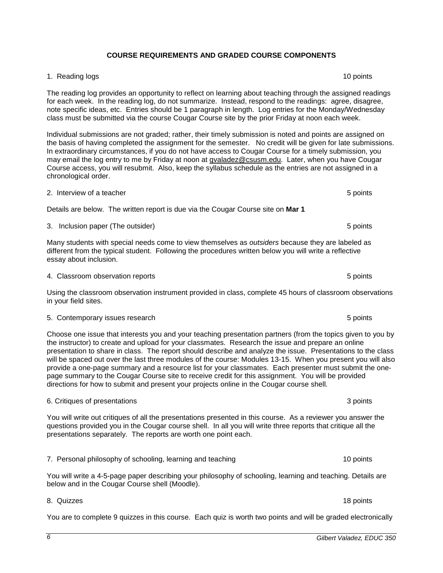# **COURSE REQUIREMENTS AND GRADED COURSE COMPONENTS**

# <span id="page-5-0"></span>1. Reading logs 10 points 10 points 10 points 10 points 10 points 10 points 10 points 10 points 10 points 10 points 10 points 10 points 10 points 10 points 10 points 10 points 10 points 10 points 10 points 10 points 10 poi

The reading log provides an opportunity to reflect on learning about teaching through the assigned readings for each week. In the reading log, do not summarize. Instead, respond to the readings: agree, disagree, note specific ideas, etc. Entries should be 1 paragraph in length. Log entries for the Monday/Wednesday class must be submitted via the course Cougar Course site by the prior Friday at noon each week.

Individual submissions are not graded; rather, their timely submission is noted and points are assigned on the basis of having completed the assignment for the semester. No credit will be given for late submissions. In extraordinary circumstances, if you do not have access to Cougar Course for a timely submission, you may email the log entry to me by Friday at noon at [gvaladez@csusm.edu.](mailto:gvaladez@csusm.edu) Later, when you have Cougar Course access, you will resubmit. Also, keep the syllabus schedule as the entries are not assigned in a chronological order.

# 2. Interview of a teacher **5** points **1.1** and **1.1** and **1.1** and **1.1** and **1.1** and **1.1** and **1.1** and **1.1** and **1.1** and **1.1** and **1.1** and **1.1** and **1.1** and **1.1** and **1.1** and **1.1** and **1.1** and **1.1** and **1.1**

Details are below. The written report is due via the Cougar Course site on **Mar 1**

# 3. Inclusion paper (The outsider) 3. Inclusion paper (The outsider) 5 points

Many students with special needs come to view themselves as *outsiders* because they are labeled as different from the typical student. Following the procedures written below you will write a reflective essay about inclusion.

Using the classroom observation instrument provided in class, complete 45 hours of classroom observations in your field sites.

5. Contemporary issues research 5 points Choose one issue that interests you and your teaching presentation partners (from the topics given to you by the instructor) to create and upload for your classmates. Research the issue and prepare an online presentation to share in class. The report should describe and analyze the issue. Presentations to the class

will be spaced out over the last three modules of the course: Modules 13-15. When you present you will also provide a one-page summary and a resource list for your classmates. Each presenter must submit the onepage summary to the Cougar Course site to receive credit for this assignment. You will be provided directions for how to submit and present your projects online in the Cougar course shell.

You will write out critiques of all the presentations presented in this course. As a reviewer you answer the questions provided you in the Cougar course shell. In all you will write three reports that critique all the presentations separately. The reports are worth one point each.

6. Critiques of presentations 3 points

You will write a 4-5-page paper describing your philosophy of schooling, learning and teaching. Details are below and in the Cougar Course shell (Moodle).

## 8. Quizzes 18 points

You are to complete 9 quizzes in this course. Each quiz is worth two points and will be graded electronically

7. Personal philosophy of schooling, learning and teaching 10 points 10 points

4. Classroom observation reports 5 points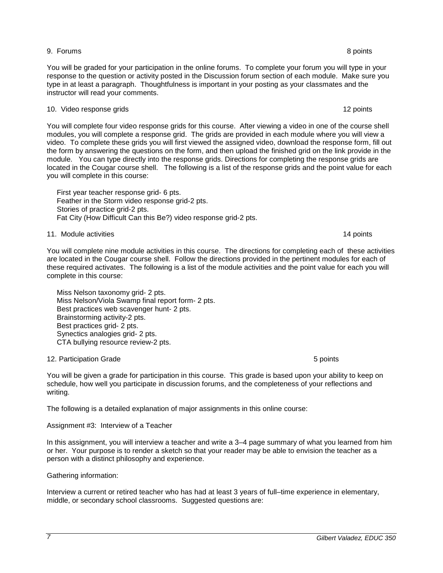# 9. Forums 8 points

You will be graded for your participation in the online forums. To complete your forum you will type in your response to the question or activity posted in the Discussion forum section of each module. Make sure you type in at least a paragraph. Thoughtfulness is important in your posting as your classmates and the instructor will read your comments.

10. Video response grids 12 points

You will complete four video response grids for this course. After viewing a video in one of the course shell modules, you will complete a response grid. The grids are provided in each module where you will view a video. To complete these grids you will first viewed the assigned video, download the response form, fill out the form by answering the questions on the form, and then upload the finished grid on the link provide in the module. You can type directly into the response grids. Directions for completing the response grids are located in the Cougar course shell. The following is a list of the response grids and the point value for each you will complete in this course:

 First year teacher response grid- 6 pts. Feather in the Storm video response grid-2 pts. Stories of practice grid-2 pts. Fat City (How Difficult Can this Be?) video response grid-2 pts.

# 11. Module activities **14 points** 14 points **14 points**

You will complete nine module activities in this course. The directions for completing each of these activities are located in the Cougar course shell. Follow the directions provided in the pertinent modules for each of these required activates. The following is a list of the module activities and the point value for each you will complete in this course:

 Miss Nelson taxonomy grid- 2 pts. Miss Nelson/Viola Swamp final report form- 2 pts. Best practices web scavenger hunt- 2 pts. Brainstorming activity-2 pts. Best practices grid- 2 pts. Synectics analogies grid- 2 pts. CTA bullying resource review-2 pts.

# 12. Participation Grade 6 points and the set of the set of the set of the set of the set of the set of the set o

You will be given a grade for participation in this course. This grade is based upon your ability to keep on schedule, how well you participate in discussion forums, and the completeness of your reflections and writing.

The following is a detailed explanation of major assignments in this online course:

# Assignment #3: Interview of a Teacher

In this assignment, you will interview a teacher and write a 3–4 page summary of what you learned from him or her. Your purpose is to render a sketch so that your reader may be able to envision the teacher as a person with a distinct philosophy and experience.

# Gathering information:

Interview a current or retired teacher who has had at least 3 years of full–time experience in elementary, middle, or secondary school classrooms. Suggested questions are: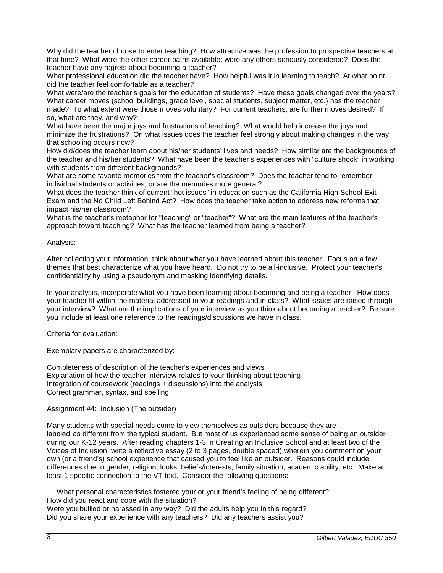Why did the teacher choose to enter teaching? How attractive was the profession to prospective teachers at that time? What were the other career paths available; were any others seriously considered? Does the teacher have any regrets about becoming a teacher?

What professional education did the teacher have? How helpful was it in learning to teach? At what point did the teacher feel comfortable as a teacher?

What were/are the teacher's goals for the education of students? Have these goals changed over the years? What career moves (school buildings, grade level, special students, subject matter, etc.) has the teacher made? To what extent were those moves voluntary? For current teachers, are further moves desired? If so, what are they, and why?

What have been the major joys and frustrations of teaching? What would help increase the joys and minimize the frustrations? On what issues does the teacher feel strongly about making changes in the way that schooling occurs now?

How did/does the teacher learn about his/her students' lives and needs? How similar are the backgrounds of the teacher and his/her students? What have been the teacher's experiences with "culture shock" in working with students from different backgrounds?

What are some favorite memories from the teacher's classroom? Does the teacher tend to remember individual students or activities, or are the memories more general?

What does the teacher think of current "hot issues" in education such as the California High School Exit Exam and the No Child Left Behind Act? How does the teacher take action to address new reforms that impact his/her classroom?

What is the teacher's metaphor for "teaching" or "teacher"? What are the main features of the teacher's approach toward teaching? What has the teacher learned from being a teacher?

### Analysis:

After collecting your information, think about what you have learned about this teacher. Focus on a few themes that best characterize what you have heard. Do not try to be all-inclusive. Protect your teacher's confidentiality by using a pseudonym and masking identifying details.

In your analysis, incorporate what you have been learning about becoming and being a teacher. How does your teacher fit within the material addressed in your readings and in class? What issues are raised through your interview? What are the implications of your interview as you think about becoming a teacher? Be sure you include at least one reference to the readings/discussions we have in class.

### Criteria for evaluation:

Exemplary papers are characterized by:

Completeness of description of the teacher's experiences and views Explanation of how the teacher interview relates to your thinking about teaching Integration of coursework (readings + discussions) into the analysis Correct grammar, syntax, and spelling

## Assignment #4: Inclusion (The outsider)

Many students with special needs come to view themselves as outsiders because they are labeled as different from the typical student. But most of us experienced some sense of being an outsider during our K-12 years. After reading chapters 1-3 in Creating an Inclusive School and at least two of the Voices of Inclusion, write a reflective essay (2 to 3 pages, double spaced) wherein you comment on your own (or a friend's) school experience that caused you to feel like an outsider. Reasons could include differences due to gender, religion, looks, beliefs/interests, family situation, academic ability, etc. Make at least 1 specific connection to the VT text. Consider the following questions:

 What personal characteristics fostered your or your friend's feeling of being different? How did you react and cope with the situation? Were you bullied or harassed in any way? Did the adults help you in this regard? Did you share your experience with any teachers? Did any teachers assist you?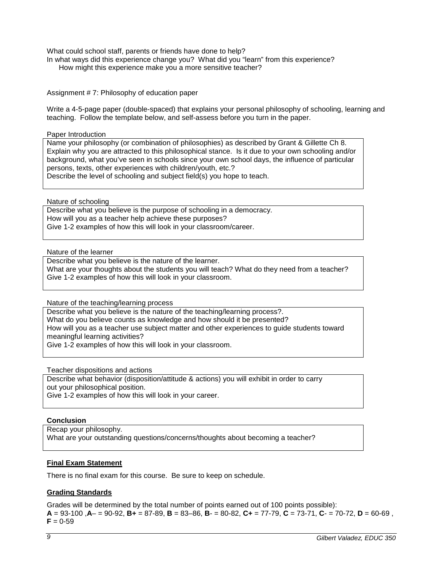What could school staff, parents or friends have done to help?

In what ways did this experience change you? What did you "learn" from this experience? How might this experience make you a more sensitive teacher?

Assignment # 7: Philosophy of education paper

Write a 4-5-page paper (double-spaced) that explains your personal philosophy of schooling, learning and teaching. Follow the template below, and self-assess before you turn in the paper.

#### Paper Introduction

Name your philosophy (or combination of philosophies) as described by Grant & Gillette Ch 8. Explain why you are attracted to this philosophical stance. Is it due to your own schooling and/or background, what you've seen in schools since your own school days, the influence of particular persons, texts, other experiences with children/youth, etc.?

Describe the level of schooling and subject field(s) you hope to teach.

Nature of schooling

Describe what you believe is the purpose of schooling in a democracy. How will you as a teacher help achieve these purposes? Give 1-2 examples of how this will look in your classroom/career.

Nature of the learner

Describe what you believe is the nature of the learner. What are your thoughts about the students you will teach? What do they need from a teacher? Give 1-2 examples of how this will look in your classroom.

Nature of the teaching/learning process

Describe what you believe is the nature of the teaching/learning process?. What do you believe counts as knowledge and how should it be presented?

How will you as a teacher use subject matter and other experiences to guide students toward meaningful learning activities?

Give 1-2 examples of how this will look in your classroom.

Teacher dispositions and actions

Describe what behavior (disposition/attitude & actions) you will exhibit in order to carry out your philosophical position.

Give 1-2 examples of how this will look in your career.

### **Conclusion**

Recap your philosophy. What are your outstanding questions/concerns/thoughts about becoming a teacher?

### <span id="page-8-0"></span>**Final Exam Statement**

There is no final exam for this course. Be sure to keep on schedule.

### <span id="page-8-1"></span>**Grading Standards**

Grades will be determined by the total number of points earned out of 100 points possible): **A** = 93-100 ,**A**– = 90-92, **B+** = 87-89, **B** = 83–86, **B**- = 80-82, **C+** = 77-79, **C** = 73-71, **C**- = 70-72, **D** = 60-69 ,  $F = 0-59$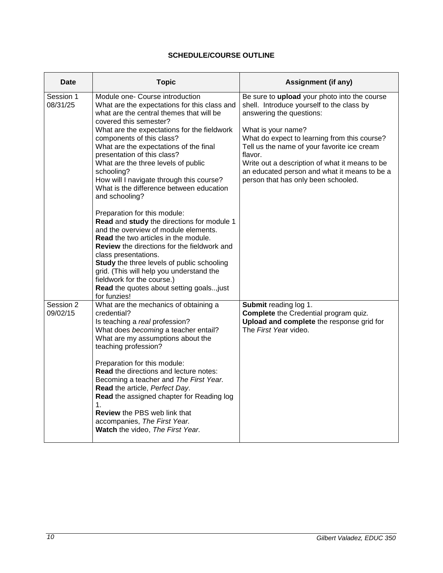# **SCHEDULE/COURSE OUTLINE**

<span id="page-9-0"></span>

| Date                  | <b>Topic</b>                                                                                                                                                                                                                                                                                                                                                                                                                                                                                                                                                                                                                                                                                                                                                                                                                                                                                                     | <b>Assignment (if any)</b>                                                                                                                                                                                                                                                                                                                                                                     |
|-----------------------|------------------------------------------------------------------------------------------------------------------------------------------------------------------------------------------------------------------------------------------------------------------------------------------------------------------------------------------------------------------------------------------------------------------------------------------------------------------------------------------------------------------------------------------------------------------------------------------------------------------------------------------------------------------------------------------------------------------------------------------------------------------------------------------------------------------------------------------------------------------------------------------------------------------|------------------------------------------------------------------------------------------------------------------------------------------------------------------------------------------------------------------------------------------------------------------------------------------------------------------------------------------------------------------------------------------------|
| Session 1<br>08/31/25 | Module one- Course introduction<br>What are the expectations for this class and<br>what are the central themes that will be<br>covered this semester?<br>What are the expectations for the fieldwork<br>components of this class?<br>What are the expectations of the final<br>presentation of this class?<br>What are the three levels of public<br>schooling?<br>How will I navigate through this course?<br>What is the difference between education<br>and schooling?<br>Preparation for this module:<br>Read and study the directions for module 1<br>and the overview of module elements.<br><b>Read</b> the two articles in the module.<br><b>Review</b> the directions for the fieldwork and<br>class presentations.<br>Study the three levels of public schooling<br>grid. (This will help you understand the<br>fieldwork for the course.)<br>Read the quotes about setting goals just<br>for funzies! | Be sure to upload your photo into the course<br>shell. Introduce yourself to the class by<br>answering the questions:<br>What is your name?<br>What do expect to learning from this course?<br>Tell us the name of your favorite ice cream<br>flavor.<br>Write out a description of what it means to be<br>an educated person and what it means to be a<br>person that has only been schooled. |
| Session 2<br>09/02/15 | What are the mechanics of obtaining a<br>credential?<br>Is teaching a real profession?<br>What does becoming a teacher entail?<br>What are my assumptions about the<br>teaching profession?<br>Preparation for this module:<br>Read the directions and lecture notes:<br>Becoming a teacher and The First Year.<br>Read the article, Perfect Day.<br>Read the assigned chapter for Reading log<br>$\mathbf{1}$ .<br><b>Review the PBS web link that</b><br>accompanies, The First Year.<br>Watch the video, The First Year.                                                                                                                                                                                                                                                                                                                                                                                      | Submit reading log 1.<br><b>Complete</b> the Credential program quiz.<br>Upload and complete the response grid for<br>The First Year video.                                                                                                                                                                                                                                                    |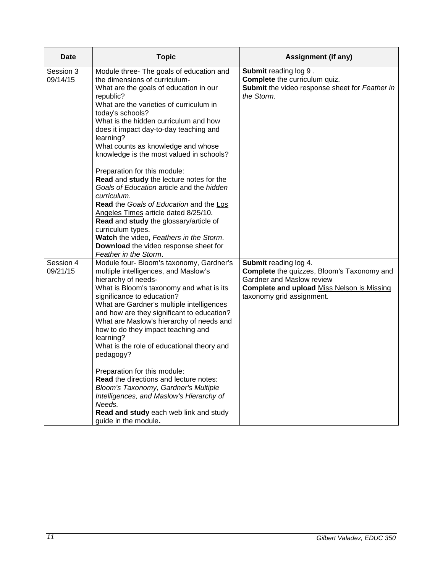| Date                  | <b>Topic</b>                                                                                                                                                                                                                                                                                                                                                                                                                                                                                                                                                                                                                                                                                                                                                                             | <b>Assignment (if any)</b>                                                                                                                                                                |
|-----------------------|------------------------------------------------------------------------------------------------------------------------------------------------------------------------------------------------------------------------------------------------------------------------------------------------------------------------------------------------------------------------------------------------------------------------------------------------------------------------------------------------------------------------------------------------------------------------------------------------------------------------------------------------------------------------------------------------------------------------------------------------------------------------------------------|-------------------------------------------------------------------------------------------------------------------------------------------------------------------------------------------|
| Session 3<br>09/14/15 | Module three- The goals of education and<br>the dimensions of curriculum-<br>What are the goals of education in our<br>republic?<br>What are the varieties of curriculum in<br>today's schools?<br>What is the hidden curriculum and how<br>does it impact day-to-day teaching and<br>learning?<br>What counts as knowledge and whose<br>knowledge is the most valued in schools?<br>Preparation for this module:<br>Read and study the lecture notes for the<br>Goals of Education article and the hidden<br>curriculum.<br>Read the Goals of Education and the Los<br>Angeles Times article dated 8/25/10.<br>Read and study the glossary/article of<br>curriculum types.<br>Watch the video, Feathers in the Storm.<br>Download the video response sheet for<br>Feather in the Storm. | <b>Submit reading log 9.</b><br>Complete the curriculum quiz.<br>Submit the video response sheet for Feather in<br>the Storm.                                                             |
| Session 4<br>09/21/15 | Module four- Bloom's taxonomy, Gardner's<br>multiple intelligences, and Maslow's<br>hierarchy of needs-<br>What is Bloom's taxonomy and what is its<br>significance to education?<br>What are Gardner's multiple intelligences<br>and how are they significant to education?<br>What are Maslow's hierarchy of needs and<br>how to do they impact teaching and<br>learning?<br>What is the role of educational theory and<br>pedagogy?<br>Preparation for this module:<br>Read the directions and lecture notes:<br>Bloom's Taxonomy, Gardner's Multiple<br>Intelligences, and Maslow's Hierarchy of<br>Needs.<br>Read and study each web link and study<br>guide in the module.                                                                                                         | Submit reading log 4.<br><b>Complete</b> the quizzes, Bloom's Taxonomy and<br>Gardner and Maslow review<br><b>Complete and upload Miss Nelson is Missing</b><br>taxonomy grid assignment. |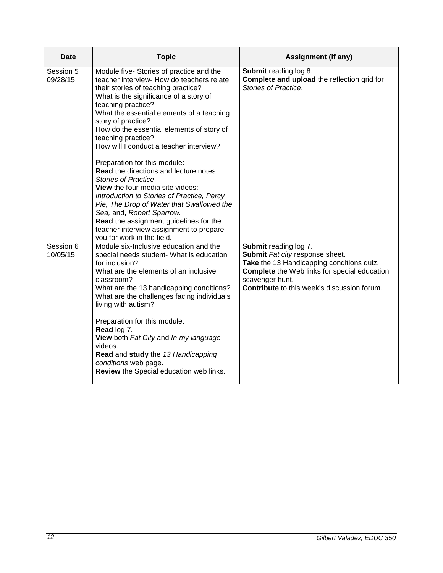| Date                  | <b>Topic</b>                                                                                                                                                                                                                                                                                                                                                                                                                                                                                                                                                                                                                                                                                                                                                          | Assignment (if any)                                                                                                                                                                                                            |
|-----------------------|-----------------------------------------------------------------------------------------------------------------------------------------------------------------------------------------------------------------------------------------------------------------------------------------------------------------------------------------------------------------------------------------------------------------------------------------------------------------------------------------------------------------------------------------------------------------------------------------------------------------------------------------------------------------------------------------------------------------------------------------------------------------------|--------------------------------------------------------------------------------------------------------------------------------------------------------------------------------------------------------------------------------|
| Session 5<br>09/28/15 | Module five- Stories of practice and the<br>teacher interview- How do teachers relate<br>their stories of teaching practice?<br>What is the significance of a story of<br>teaching practice?<br>What the essential elements of a teaching<br>story of practice?<br>How do the essential elements of story of<br>teaching practice?<br>How will I conduct a teacher interview?<br>Preparation for this module:<br><b>Read the directions and lecture notes:</b><br>Stories of Practice.<br>View the four media site videos:<br>Introduction to Stories of Practice, Percy<br>Pie, The Drop of Water that Swallowed the<br>Sea, and, Robert Sparrow.<br>Read the assignment guidelines for the<br>teacher interview assignment to prepare<br>you for work in the field. | Submit reading log 8.<br>Complete and upload the reflection grid for<br>Stories of Practice.                                                                                                                                   |
| Session 6<br>10/05/15 | Module six-Inclusive education and the<br>special needs student- What is education<br>for inclusion?<br>What are the elements of an inclusive<br>classroom?<br>What are the 13 handicapping conditions?<br>What are the challenges facing individuals<br>living with autism?<br>Preparation for this module:<br>Read log 7.<br>View both Fat City and In my language<br>videos.<br>Read and study the 13 Handicapping<br>conditions web page.<br>Review the Special education web links.                                                                                                                                                                                                                                                                              | Submit reading log 7.<br>Submit Fat city response sheet.<br>Take the 13 Handicapping conditions quiz.<br><b>Complete</b> the Web links for special education<br>scavenger hunt.<br>Contribute to this week's discussion forum. |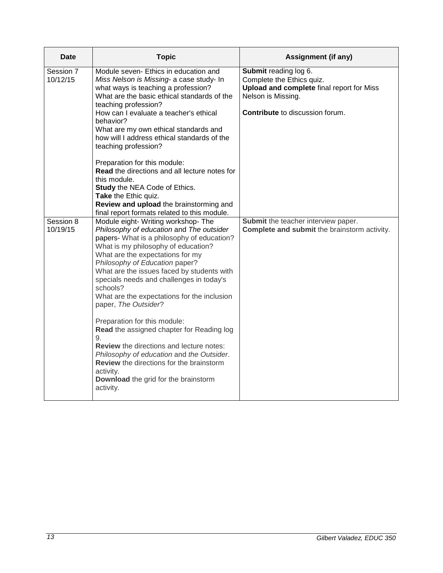| Date                  | <b>Topic</b>                                                                                                                                                                                                                                                                                                                                                                                                                                                                                                                                                                                                                                                                                                             | Assignment (if any)                                                                                                                                             |
|-----------------------|--------------------------------------------------------------------------------------------------------------------------------------------------------------------------------------------------------------------------------------------------------------------------------------------------------------------------------------------------------------------------------------------------------------------------------------------------------------------------------------------------------------------------------------------------------------------------------------------------------------------------------------------------------------------------------------------------------------------------|-----------------------------------------------------------------------------------------------------------------------------------------------------------------|
| Session 7<br>10/12/15 | Module seven- Ethics in education and<br>Miss Nelson is Missing- a case study- In<br>what ways is teaching a profession?<br>What are the basic ethical standards of the<br>teaching profession?<br>How can I evaluate a teacher's ethical<br>behavior?<br>What are my own ethical standards and<br>how will I address ethical standards of the<br>teaching profession?                                                                                                                                                                                                                                                                                                                                                   | Submit reading log 6.<br>Complete the Ethics quiz.<br>Upload and complete final report for Miss<br>Nelson is Missing.<br><b>Contribute</b> to discussion forum. |
|                       | Preparation for this module:<br><b>Read</b> the directions and all lecture notes for<br>this module.<br><b>Study the NEA Code of Ethics.</b><br>Take the Ethic quiz.<br>Review and upload the brainstorming and<br>final report formats related to this module.                                                                                                                                                                                                                                                                                                                                                                                                                                                          |                                                                                                                                                                 |
| Session 8<br>10/19/15 | Module eight- Writing workshop- The<br>Philosophy of education and The outsider<br>papers- What is a philosophy of education?<br>What is my philosophy of education?<br>What are the expectations for my<br>Philosophy of Education paper?<br>What are the issues faced by students with<br>specials needs and challenges in today's<br>schools?<br>What are the expectations for the inclusion<br>paper, The Outsider?<br>Preparation for this module:<br>Read the assigned chapter for Reading log<br>9.<br><b>Review</b> the directions and lecture notes:<br>Philosophy of education and the Outsider.<br>Review the directions for the brainstorm<br>activity.<br>Download the grid for the brainstorm<br>activity. | Submit the teacher interview paper.<br>Complete and submit the brainstorm activity.                                                                             |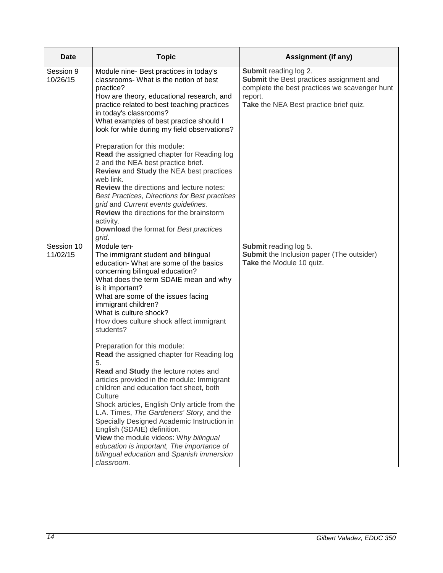| Date                   | <b>Topic</b>                                                                                                                                                                                                                                                                                                                                                                                                                                                                                                                                                                                                                                                                                                                                                                                                                                                                                           | <b>Assignment (if any)</b>                                                                                                                                              |
|------------------------|--------------------------------------------------------------------------------------------------------------------------------------------------------------------------------------------------------------------------------------------------------------------------------------------------------------------------------------------------------------------------------------------------------------------------------------------------------------------------------------------------------------------------------------------------------------------------------------------------------------------------------------------------------------------------------------------------------------------------------------------------------------------------------------------------------------------------------------------------------------------------------------------------------|-------------------------------------------------------------------------------------------------------------------------------------------------------------------------|
| Session 9<br>10/26/15  | Module nine- Best practices in today's<br>classrooms- What is the notion of best<br>practice?<br>How are theory, educational research, and<br>practice related to best teaching practices<br>in today's classrooms?<br>What examples of best practice should I<br>look for while during my field observations?<br>Preparation for this module:<br>Read the assigned chapter for Reading log<br>2 and the NEA best practice brief.<br>Review and Study the NEA best practices<br>web link.<br><b>Review</b> the directions and lecture notes:<br>Best Practices, Directions for Best practices<br>grid and Current events guidelines.<br><b>Review</b> the directions for the brainstorm<br>activity.<br>Download the format for Best practices<br>grid.                                                                                                                                                | Submit reading log 2.<br>Submit the Best practices assignment and<br>complete the best practices we scavenger hunt<br>report.<br>Take the NEA Best practice brief quiz. |
| Session 10<br>11/02/15 | Module ten-<br>The immigrant student and bilingual<br>education- What are some of the basics<br>concerning bilingual education?<br>What does the term SDAIE mean and why<br>is it important?<br>What are some of the issues facing<br>immigrant children?<br>What is culture shock?<br>How does culture shock affect immigrant<br>students?<br>Preparation for this module:<br>Read the assigned chapter for Reading log<br>5.<br>Read and Study the lecture notes and<br>articles provided in the module: Immigrant<br>children and education fact sheet, both<br>Culture<br>Shock articles, English Only article from the<br>L.A. Times, The Gardeners' Story, and the<br>Specially Designed Academic Instruction in<br>English (SDAIE) definition.<br>View the module videos: Why bilingual<br>education is important, The importance of<br>bilingual education and Spanish immersion<br>classroom. | Submit reading log 5.<br><b>Submit</b> the Inclusion paper (The outsider)<br>Take the Module 10 quiz.                                                                   |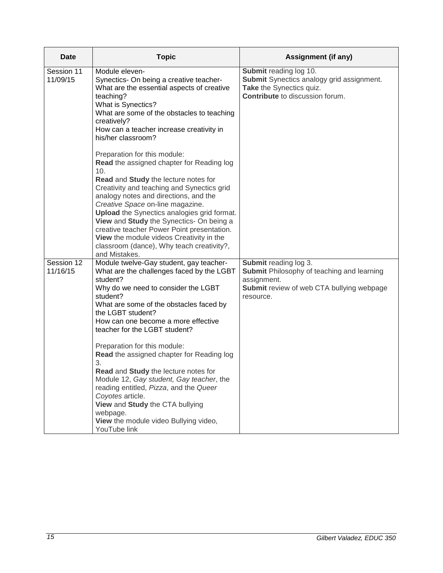| Date                   | <b>Topic</b>                                                                                                                                                                                                                                                                                                                                                                                                                                                                                                                                                                                                                                                                                                                                                                               | <b>Assignment (if any)</b>                                                                                                                          |
|------------------------|--------------------------------------------------------------------------------------------------------------------------------------------------------------------------------------------------------------------------------------------------------------------------------------------------------------------------------------------------------------------------------------------------------------------------------------------------------------------------------------------------------------------------------------------------------------------------------------------------------------------------------------------------------------------------------------------------------------------------------------------------------------------------------------------|-----------------------------------------------------------------------------------------------------------------------------------------------------|
| Session 11<br>11/09/15 | Module eleven-<br>Synectics- On being a creative teacher-<br>What are the essential aspects of creative<br>teaching?<br>What is Synectics?<br>What are some of the obstacles to teaching<br>creatively?<br>How can a teacher increase creativity in<br>his/her classroom?<br>Preparation for this module:<br>Read the assigned chapter for Reading log<br>10.<br>Read and Study the lecture notes for<br>Creativity and teaching and Synectics grid<br>analogy notes and directions, and the<br>Creative Space on-line magazine.<br><b>Upload</b> the Synectics analogies grid format.<br>View and Study the Synectics- On being a<br>creative teacher Power Point presentation.<br>View the module videos Creativity in the<br>classroom (dance), Why teach creativity?,<br>and Mistakes. | Submit reading log 10.<br><b>Submit</b> Synectics analogy grid assignment.<br>Take the Synectics quiz.<br>Contribute to discussion forum.           |
| Session 12<br>11/16/15 | Module twelve-Gay student, gay teacher-<br>What are the challenges faced by the LGBT<br>student?<br>Why do we need to consider the LGBT<br>student?<br>What are some of the obstacles faced by<br>the LGBT student?<br>How can one become a more effective<br>teacher for the LGBT student?<br>Preparation for this module:<br>Read the assigned chapter for Reading log<br>3.<br>Read and Study the lecture notes for<br>Module 12, Gay student, Gay teacher, the<br>reading entitled, Pizza, and the Queer<br>Coyotes article.<br>View and Study the CTA bullying<br>webpage.<br>View the module video Bullying video,<br>YouTube link                                                                                                                                                   | Submit reading log 3.<br><b>Submit</b> Philosophy of teaching and learning<br>assignment.<br>Submit review of web CTA bullying webpage<br>resource. |